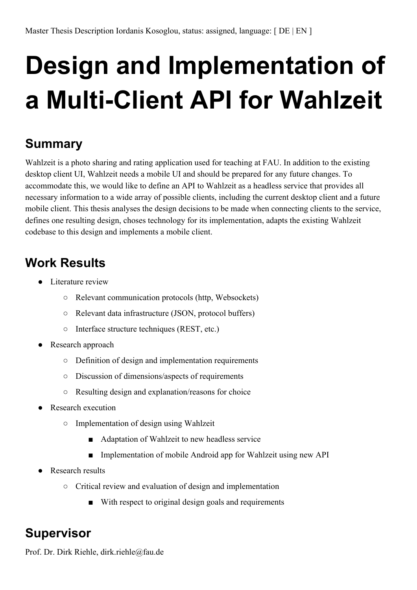## **Design and Implementation of a** Multi-Client API for Wahlzeit

## **Summary**

Wahlzeit is a photo sharing and rating application used for teaching at FAU. In addition to the existing desktop client UI, Wahlzeit needs a mobile UI and should be prepared for any future changes. To accommodate this, we would like to define an API to Wahlzeit as a headless service that provides all necessary information to a wide array of possible clients, including the current desktop client and a future mobile client. This thesis analyses the design decisions to be made when connecting clients to the service, defines one resulting design, choses technology for its implementation, adapts the existing Wahlzeit codebase to this design and implements a mobile client.

## **Work Results**

- Literature review
	- Relevant communication protocols (http, Websockets)
	- Relevant data infrastructure (JSON, protocol buffers)
	- Interface structure techniques (REST, etc.)
- Research approach
	- Definition of design and implementation requirements
	- Discussion of dimensions/aspects of requirements
	- Resulting design and explanation/reasons for choice
- **Research execution** 
	- Implementation of design using Wahlzeit
		- Adaptation of Wahlzeit to new headless service
		- Implementation of mobile Android app for Wahlzeit using new API
- Research results
	- Critical review and evaluation of design and implementation
		- With respect to original design goals and requirements

## **Supervisor**

Prof. Dr. Dirk Riehle, dirk.riehle@fau.de